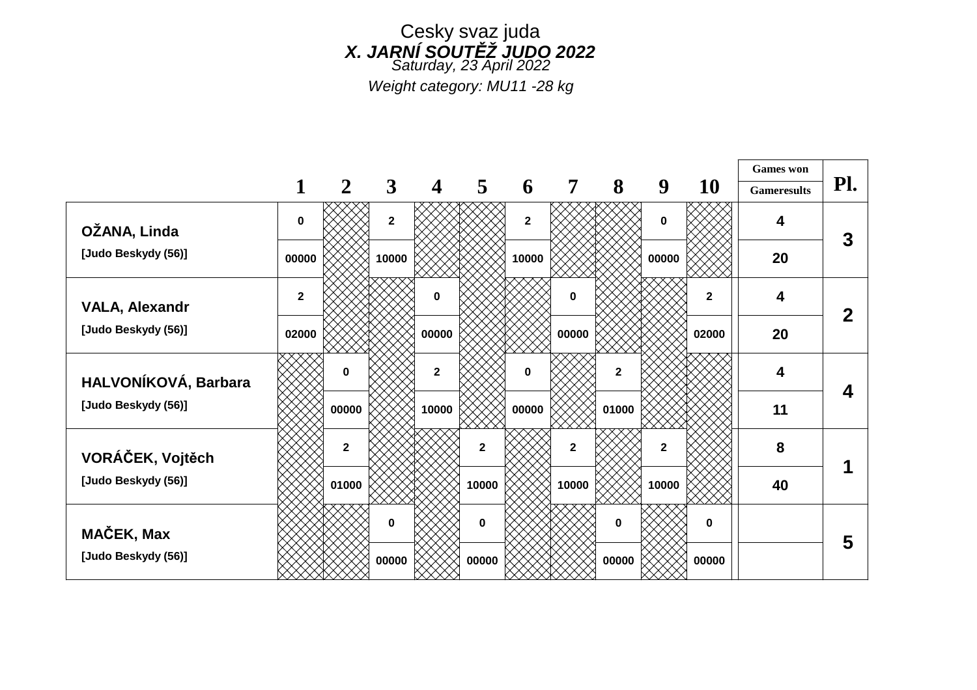#### Cesky svaz juda *X. JARNÍ SOUTĚŽ JUDO 2022 Saturday, 23 April 2022*

*Weight category: MU11 -28 kg*

|                       |              |                |                         |                |                |                |                |              |                |              | <b>Games</b> won   |             |
|-----------------------|--------------|----------------|-------------------------|----------------|----------------|----------------|----------------|--------------|----------------|--------------|--------------------|-------------|
|                       | 1            | $\mathbf{2}$   | $\mathbf{3}$            | 4              | 5              | 6              | 7              | 8            | 9              | <b>10</b>    | <b>Gameresults</b> | Pl.         |
| OŽANA, Linda          | $\mathbf 0$  |                | $\overline{\mathbf{2}}$ |                |                | $\overline{2}$ |                |              | 0              |              | 4                  | 3           |
| [Judo Beskydy (56)]   | 00000        |                | 10000                   |                |                | 10000          |                |              | 00000          |              | 20                 |             |
| <b>VALA, Alexandr</b> | $\mathbf{2}$ |                |                         | $\pmb{0}$      |                |                | $\mathbf 0$    |              |                | $\mathbf{2}$ | 4                  | $\mathbf 2$ |
| [Judo Beskydy (56)]   | 02000        |                |                         | 00000          |                |                | 00000          |              |                | 02000        | 20                 |             |
| HALVONÍKOVÁ, Barbara  |              | 0              |                         | $\overline{2}$ |                | $\mathbf 0$    |                | $\mathbf{2}$ |                |              | 4                  | 4           |
| [Judo Beskydy (56)]   |              | 00000          |                         | 10000          |                | 00000          |                | 01000        |                |              | 11                 |             |
| VORÁČEK, Vojtěch      |              | $\overline{2}$ |                         |                | $\overline{2}$ |                | $\overline{2}$ |              | $\overline{2}$ |              | 8                  |             |
| [Judo Beskydy (56)]   |              | 01000          |                         |                | 10000          |                | 10000          |              | 10000          |              | 40                 |             |
| MAČEK, Max            |              |                | $\bf{0}$                |                | $\mathbf 0$    |                |                | 0            |                | $\mathbf 0$  |                    | 5           |
| [Judo Beskydy (56)]   |              |                | 00000                   |                | 00000          |                |                | 00000        |                | 00000        |                    |             |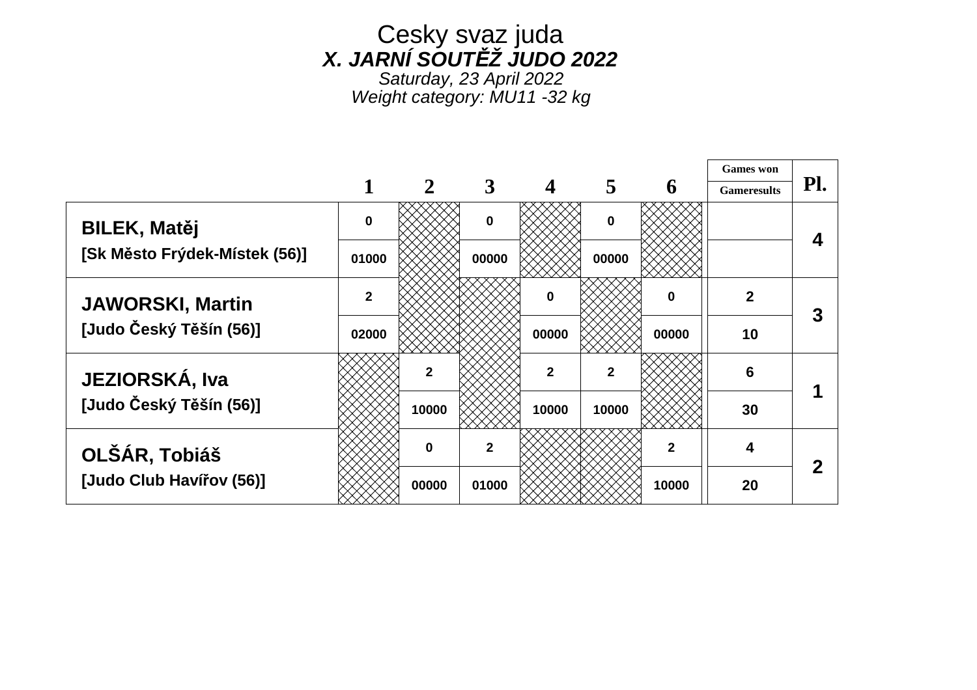### Cesky svaz juda *X. JARNÍ SOUTĚŽ JUDO 2022*

*Saturday, 23 April 2022 Weight category: MU11 -32 kg*

|                               |                |              |              |                |                |              | <b>Games</b> won   |     |
|-------------------------------|----------------|--------------|--------------|----------------|----------------|--------------|--------------------|-----|
|                               |                |              | 3            |                | 5              | 6            | <b>Gameresults</b> | Pl. |
| <b>BILEK, Matěj</b>           | $\bf{0}$       |              | $\mathbf 0$  |                | $\bf{0}$       |              |                    |     |
| [Sk Město Frýdek-Místek (56)] | 01000          |              | 00000        |                | 00000          |              |                    |     |
| <b>JAWORSKI, Martin</b>       | $\overline{2}$ |              |              | 0              |                | 0            | $\mathbf 2$        | 3   |
| [Judo Český Těšín (56)]       | 02000          |              |              | 00000          |                | 00000        | 10                 |     |
| JEZIORSKÁ, Iva                |                | 2            |              | $\overline{2}$ | $\overline{2}$ |              | 6                  |     |
| [Judo Český Těšín (56)]       |                | 10000        |              | 10000          | 10000          |              | 30                 |     |
| OLŠÁR, Tobiáš                 |                | $\mathbf{0}$ | $\mathbf{2}$ |                |                | $\mathbf{2}$ | 4                  | 2   |
| [Judo Club Havířov (56)]      |                | 00000        | 01000        |                |                | 10000        | 20                 |     |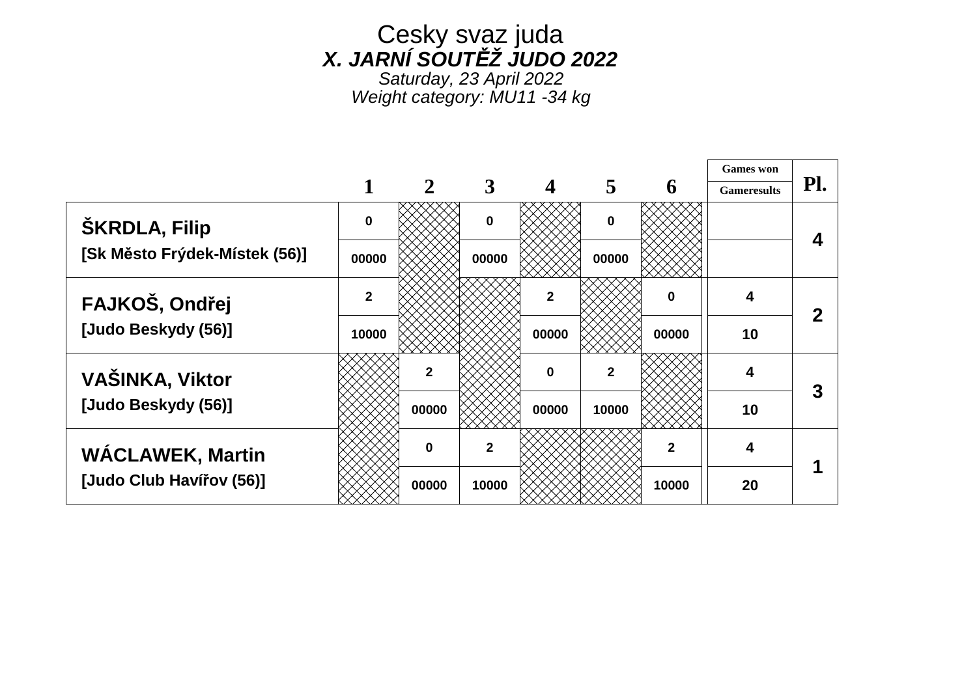### Cesky svaz juda *X. JARNÍ SOUTĚŽ JUDO 2022*

*Saturday, 23 April 2022 Weight category: MU11 -34 kg*

|                               |                |              |              |                |                |              | <b>Games</b> won   |             |
|-------------------------------|----------------|--------------|--------------|----------------|----------------|--------------|--------------------|-------------|
|                               |                | $\mathbf{2}$ | 3            |                | 5              | 6            | <b>Gameresults</b> | Pl.         |
| ŠKRDLA, Filip                 | $\bf{0}$       |              | $\mathbf 0$  |                | $\bf{0}$       |              |                    |             |
| [Sk Město Frýdek-Místek (56)] | 00000          |              | 00000        |                | 00000          |              |                    |             |
| FAJKOŠ, Ondřej                | $\overline{2}$ |              |              | $\overline{2}$ |                | 0            | 4                  | $\mathbf 2$ |
| [Judo Beskydy (56)]           | 10000          |              |              | 00000          |                | 00000        | 10                 |             |
| VAŠINKA, Viktor               |                | 2            |              | $\mathbf{0}$   | $\overline{2}$ |              | 4                  | 3           |
| [Judo Beskydy (56)]           |                | 00000        |              | 00000          | 10000          |              | 10                 |             |
| <b>WÁCLAWEK, Martin</b>       |                | $\mathbf{0}$ | $\mathbf{2}$ |                |                | $\mathbf{2}$ | 4                  |             |
| [Judo Club Havířov (56)]      |                | 00000        | 10000        |                |                | 10000        | 20                 |             |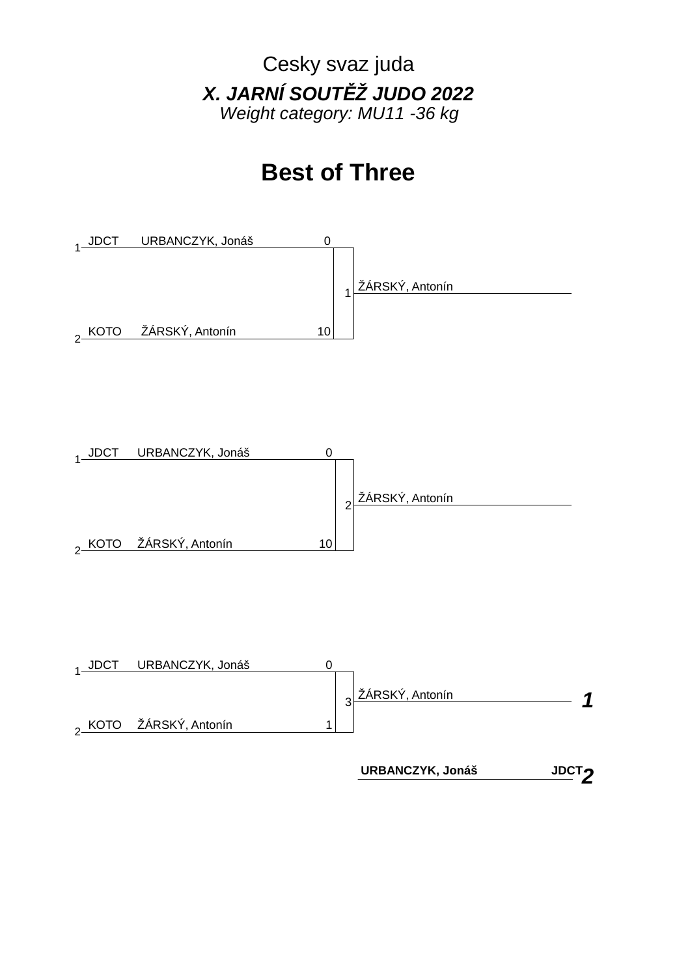### Cesky svaz juda *X. JARNÍ SOUTĚŽ JUDO 2022 Weight category: MU11 -36 kg*

## **Best of Three**







 **URBANCZYK, Jonáš**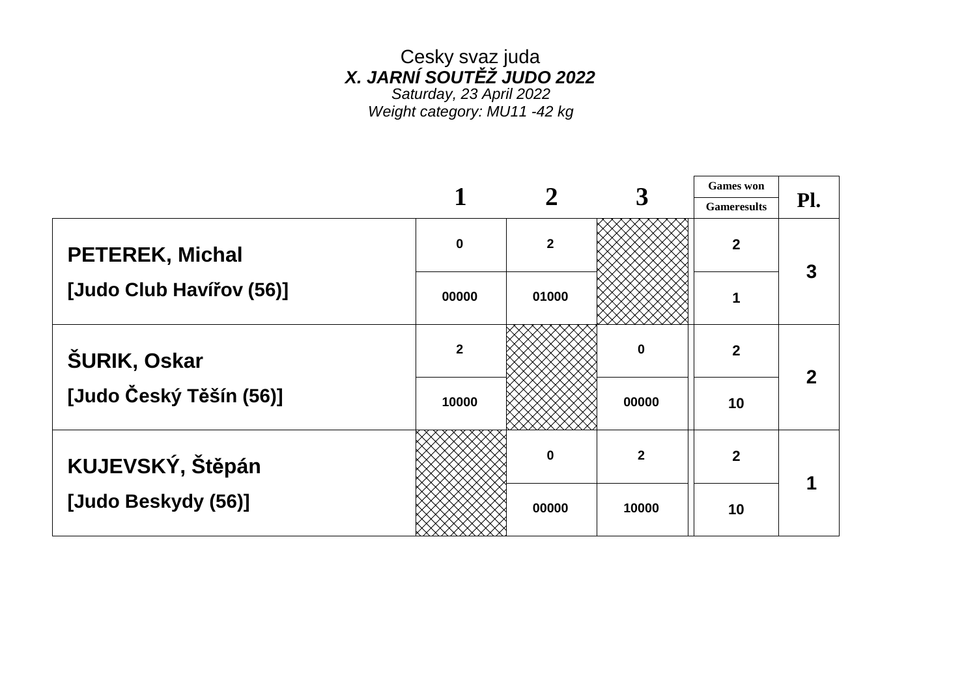#### Cesky svaz juda *X. JARNÍ SOUTĚŽ JUDO 2022 Saturday, 23 April 2022 Weight category: MU11 -42 kg*

|                          |                         |                |             | <b>Games</b> won   |     |
|--------------------------|-------------------------|----------------|-------------|--------------------|-----|
|                          |                         |                |             | <b>Gameresults</b> | Pl. |
| <b>PETEREK, Michal</b>   | $\mathbf 0$             | $\overline{2}$ |             | $\mathbf{2}$       |     |
| [Judo Club Havířov (56)] | 00000                   | 01000          |             | 1                  |     |
| <b>ŠURIK, Oskar</b>      | $\overline{\mathbf{2}}$ |                | 0           | $\overline{2}$     |     |
| [Judo Český Těšín (56)]  | 10000                   |                | 00000       | 10                 |     |
| KUJEVSKÝ, Štěpán         |                         | 0              | $\mathbf 2$ | $\overline{2}$     |     |
| [Judo Beskydy (56)]      |                         | 00000          | 10000       | 10                 |     |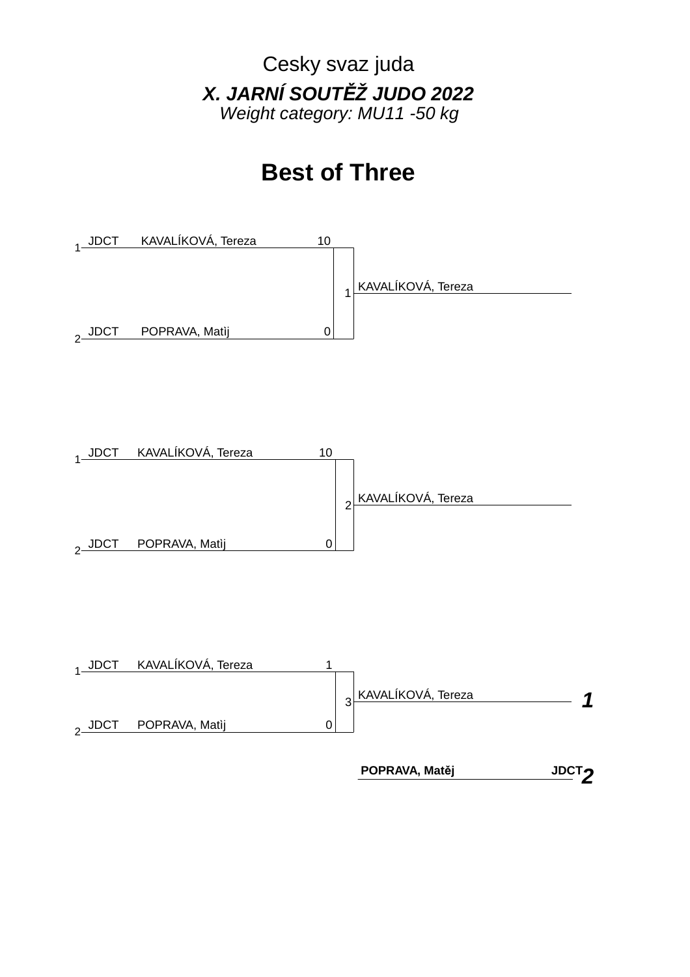### Cesky svaz juda *X. JARNÍ SOUTĚŽ JUDO 2022 Weight category: MU11 -50 kg*

## **Best of Three**







 **POPRAVA, Matěj**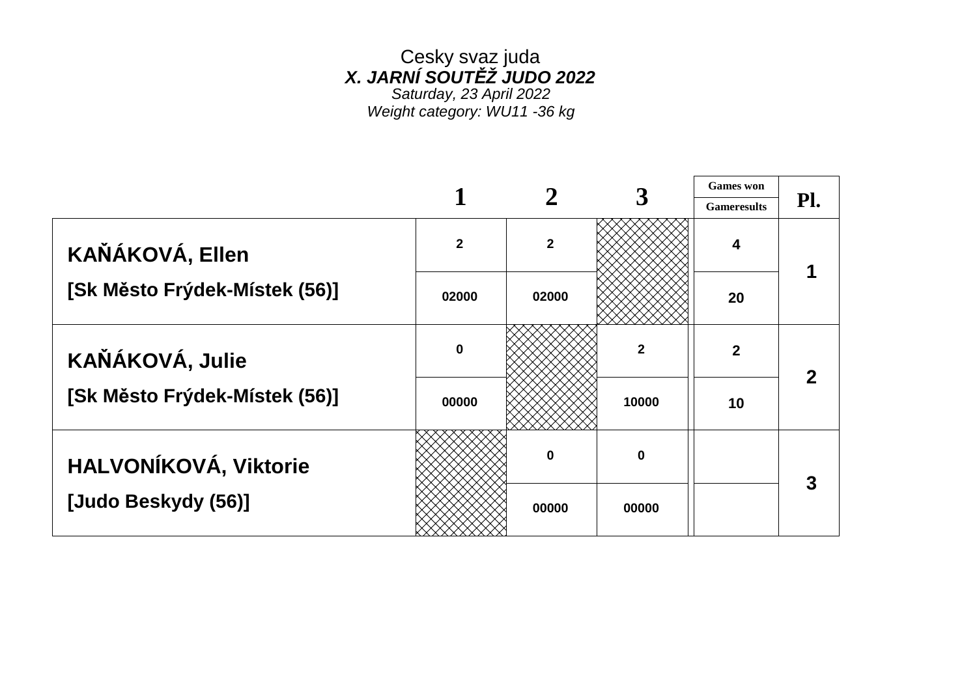#### Cesky svaz juda *X. JARNÍ SOUTĚŽ JUDO 2022 Saturday, 23 April 2022 Weight category: WU11 -36 kg*

|                               |                  |                |                | <b>Games</b> won   |     |
|-------------------------------|------------------|----------------|----------------|--------------------|-----|
|                               |                  |                |                | <b>Gameresults</b> | Pl. |
| KAŇÁKOVÁ, Ellen               | $\mathbf{2}$     | $\overline{2}$ |                | 4                  |     |
| [Sk Město Frýdek-Místek (56)] | 02000            | 02000          |                | 20                 |     |
| KAŇÁKOVÁ, Julie               | $\boldsymbol{0}$ |                | $\overline{2}$ | $\mathbf{2}$       |     |
| [Sk Město Frýdek-Místek (56)] | 00000            |                | 10000          | 10                 |     |
| HALVONÍKOVÁ, Viktorie         |                  | 0              | $\bf{0}$       |                    |     |
| [Judo Beskydy (56)]           |                  | 00000          | 00000          |                    |     |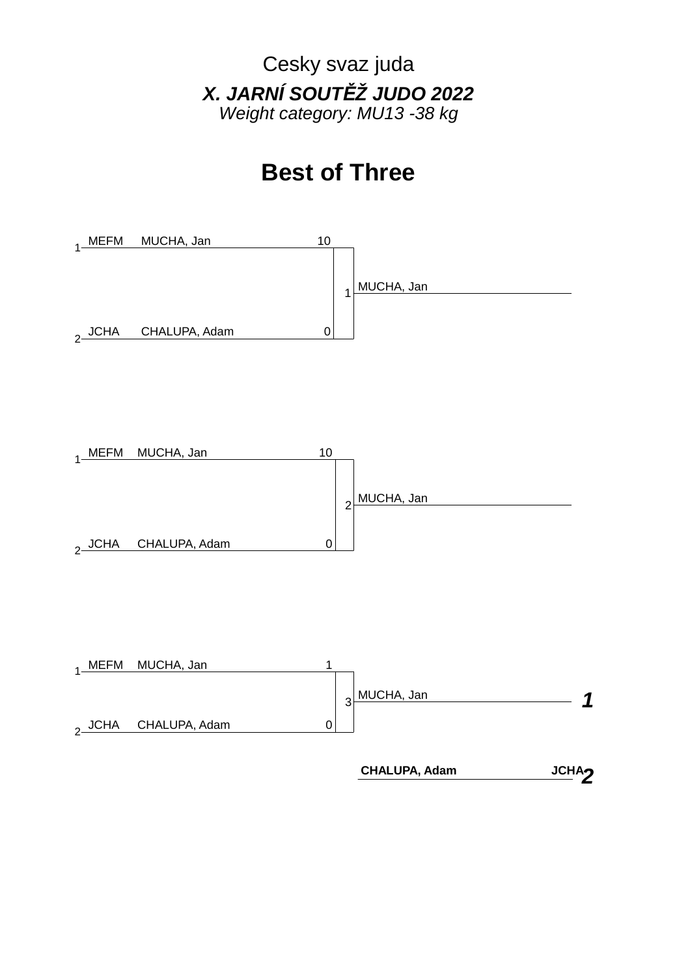### Cesky svaz juda *X. JARNÍ SOUTĚŽ JUDO 2022 Weight category: MU13 -38 kg*

## **Best of Three**







 **CHALUPA, Adam JCHA**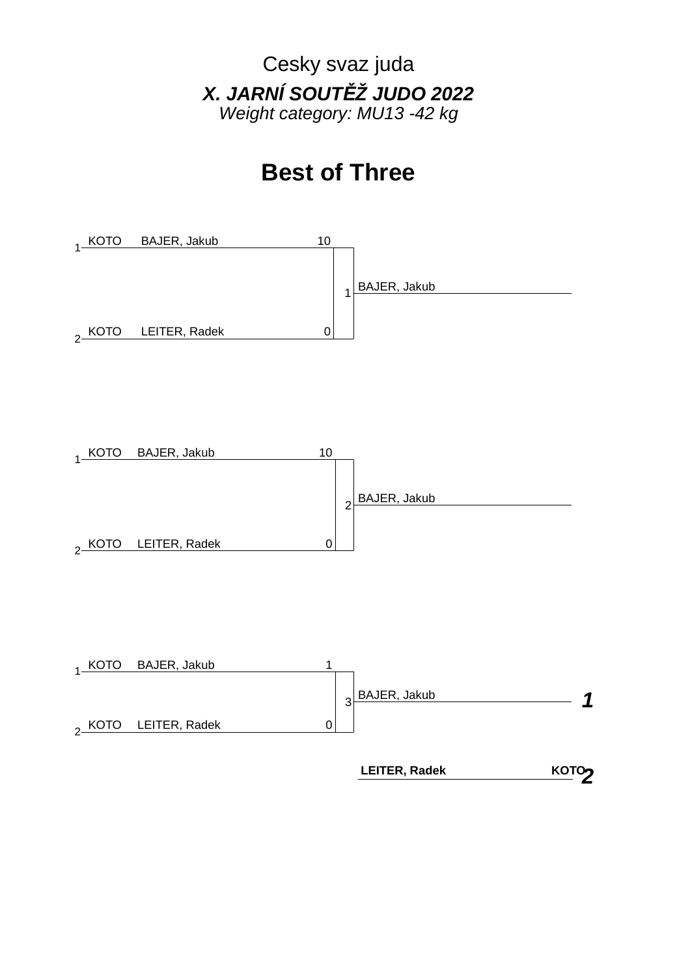### Cesky svaz juda *X. JARNÍ SOUTĚŽ JUDO 2022 Weight category: MU13 -42 kg*

## **Best of Three**







2 **LEITER, Radek**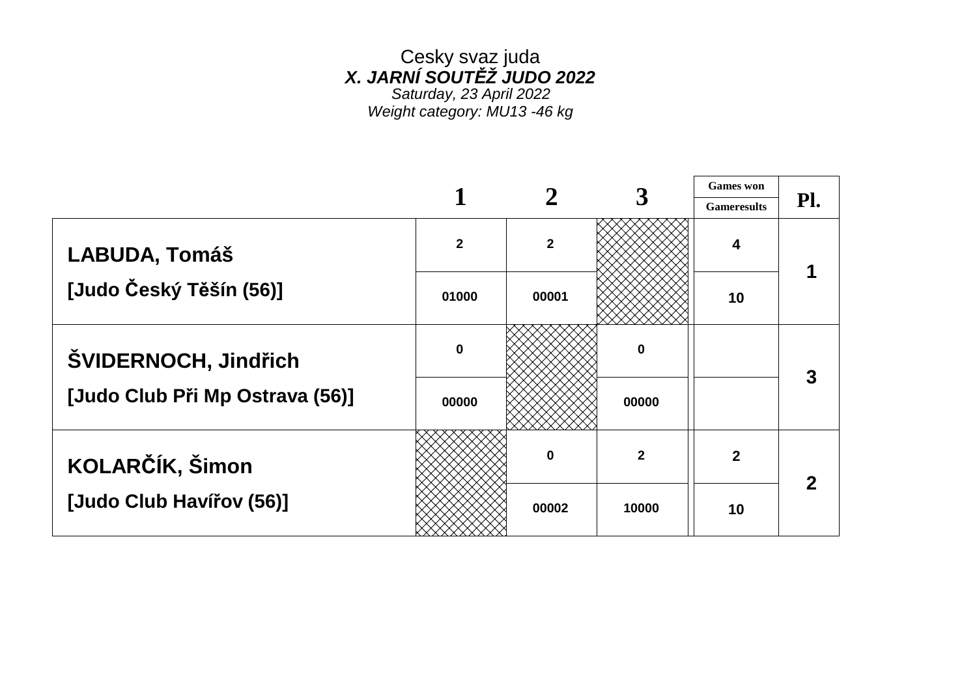#### Cesky svaz juda *X. JARNÍ SOUTĚŽ JUDO 2022 Saturday, 23 April 2022 Weight category: MU13 -46 kg*

|                                 |                |                |                | <b>Games</b> won   |     |
|---------------------------------|----------------|----------------|----------------|--------------------|-----|
|                                 |                |                |                | <b>Gameresults</b> | Pl. |
| LABUDA, Tomáš                   | $\overline{2}$ | $\overline{2}$ |                | 4                  |     |
| [Judo Český Těšín (56)]         | 01000          | 00001          |                | 10                 |     |
| ŠVIDERNOCH, Jindřich            | $\mathbf 0$    |                | 0              |                    |     |
| [Judo Club Při Mp Ostrava (56)] | 00000          |                | 00000          |                    |     |
| KOLARČÍK, Šimon                 |                | 0              | $\overline{2}$ | $\overline{2}$     |     |
| [Judo Club Havířov (56)]        |                | 00002          | 10000          | 10                 |     |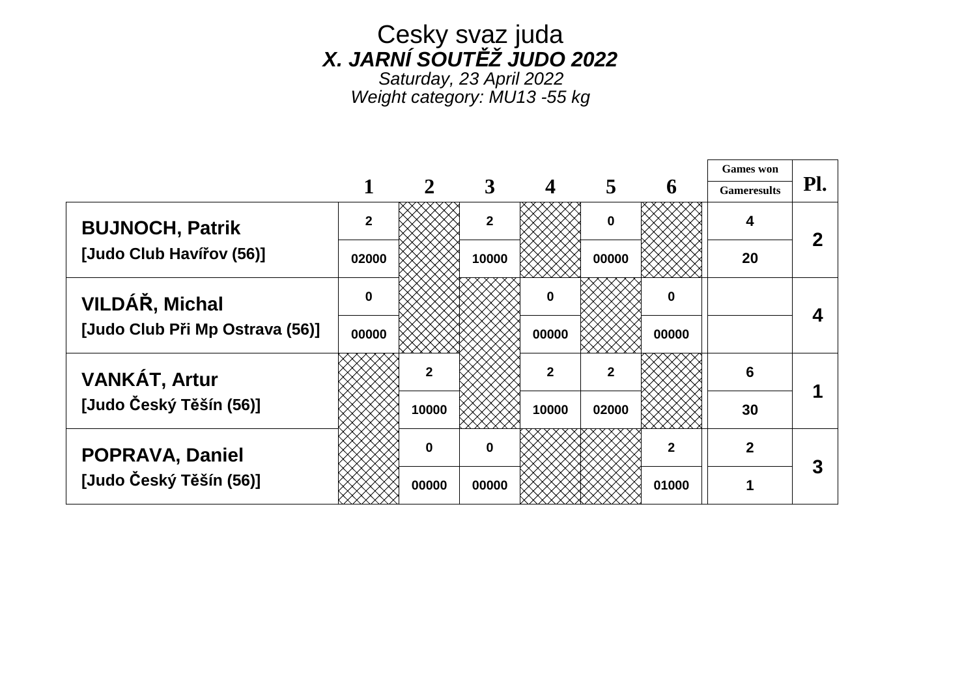### Cesky svaz juda *X. JARNÍ SOUTĚŽ JUDO 2022*

*Saturday, 23 April 2022 Weight category: MU13 -55 kg*

|                                 |                |                |                |                         |                |              | <b>Games</b> won   |     |
|---------------------------------|----------------|----------------|----------------|-------------------------|----------------|--------------|--------------------|-----|
|                                 | $\mathbf 1$    | $\overline{2}$ | 3              | $\overline{\mathbf{4}}$ | 5              | 6            | <b>Gameresults</b> | Pl. |
| <b>BUJNOCH, Patrik</b>          | $\overline{2}$ |                | $\overline{2}$ |                         | $\mathbf 0$    |              | 4                  |     |
| [Judo Club Havířov (56)]        | 02000          |                | 10000          |                         | 00000          |              | 20                 |     |
| VILDÁŘ, Michal                  | $\bf{0}$       |                |                | $\mathbf 0$             |                | 0            |                    |     |
| [Judo Club Při Mp Ostrava (56)] | 00000          |                |                | 00000                   |                | 00000        |                    |     |
| VANKÁT, Artur                   |                | 2              |                | $\overline{2}$          | $\overline{2}$ |              | 6                  |     |
| [Judo Český Těšín (56)]         |                | 10000          |                | 10000                   | 02000          |              | 30                 |     |
| <b>POPRAVA, Daniel</b>          |                | $\Omega$       | $\bf{0}$       |                         |                | $\mathbf{2}$ | $\overline{2}$     | 3   |
| [Judo Český Těšín (56)]         |                | 00000          | 00000          |                         |                | 01000        |                    |     |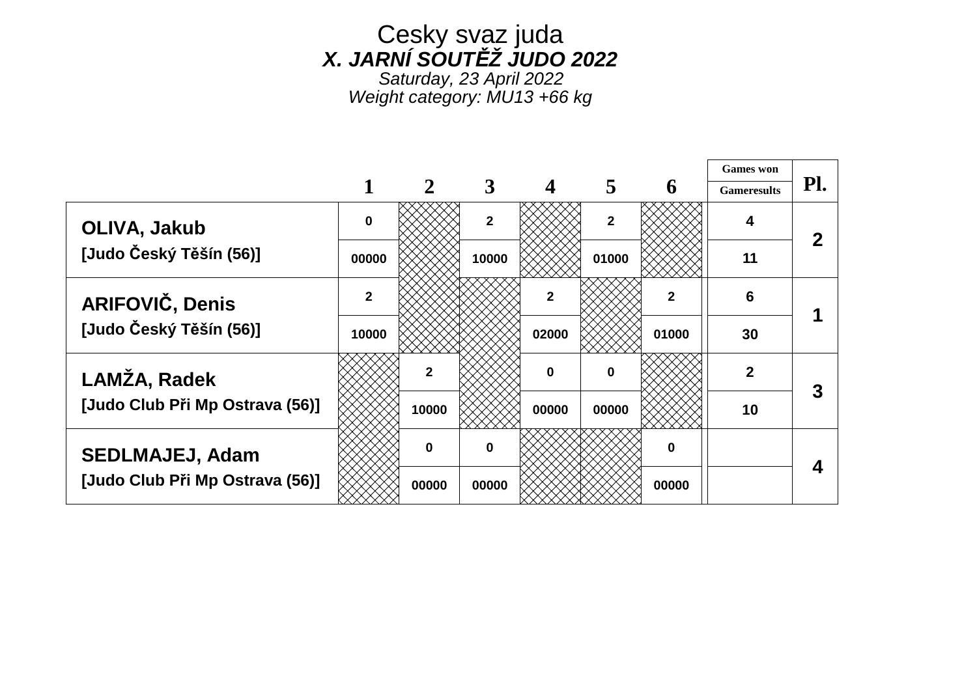## Cesky svaz juda *X. JARNÍ SOUTĚŽ JUDO 2022*

*Saturday, 23 April 2022 Weight category: MU13 +66 kg*

┬

|                                 |                |          |                |                |                |              | <b>Games</b> won   |             |
|---------------------------------|----------------|----------|----------------|----------------|----------------|--------------|--------------------|-------------|
|                                 |                |          |                |                | 5              | 6            | <b>Gameresults</b> | Pl.         |
| OLIVA, Jakub                    | $\bf{0}$       |          | $\overline{2}$ |                | $\overline{2}$ |              |                    | $\mathbf 2$ |
| [Judo Český Těšín (56)]         | 00000          |          | 10000          |                | 01000          |              | 11                 |             |
| <b>ARIFOVIČ, Denis</b>          | $\overline{2}$ |          |                | $\overline{2}$ |                | $\mathbf{2}$ | 6                  |             |
| [Judo Český Těšín (56)]         | 10000          |          |                | 02000          |                | 01000        | 30                 |             |
| LAMŽA, Radek                    |                |          |                | $\bf{0}$       | 0              |              | $\mathbf{2}$       | 3           |
| [Judo Club Při Mp Ostrava (56)] |                | 10000    |                | 00000          | 00000          |              | 10                 |             |
| <b>SEDLMAJEJ, Adam</b>          |                | $\Omega$ | $\bf{0}$       |                |                | $\bf{0}$     |                    |             |
| [Judo Club Při Mp Ostrava (56)] |                | 00000    | 00000          |                |                | 00000        |                    |             |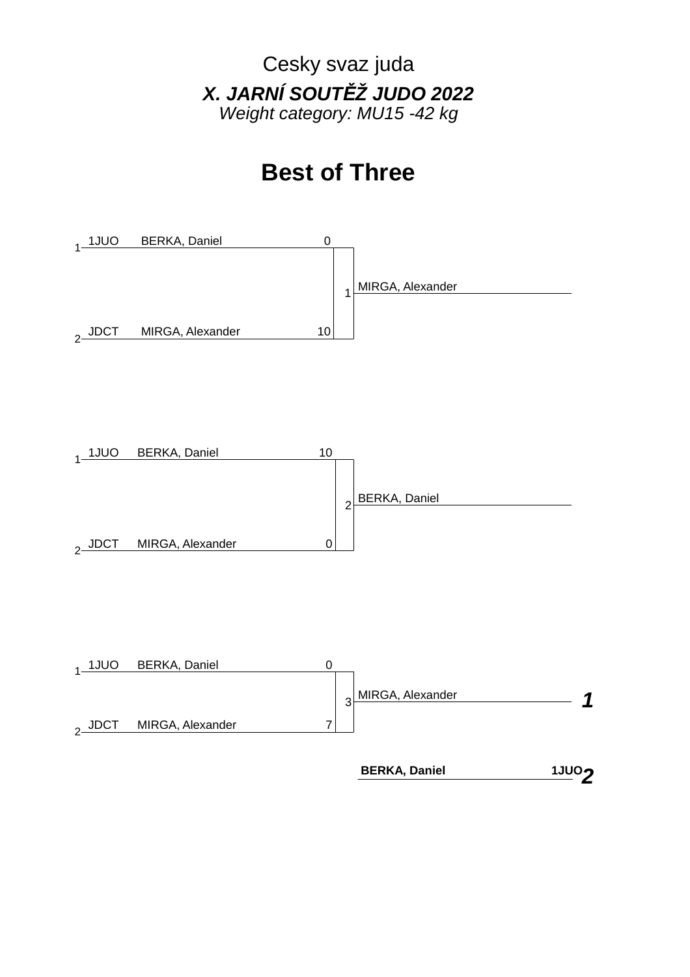### Cesky svaz juda *X. JARNÍ SOUTĚŽ JUDO 2022 Weight category: MU15 -42 kg*

## **Best of Three**







*2* **BERKA, Daniel**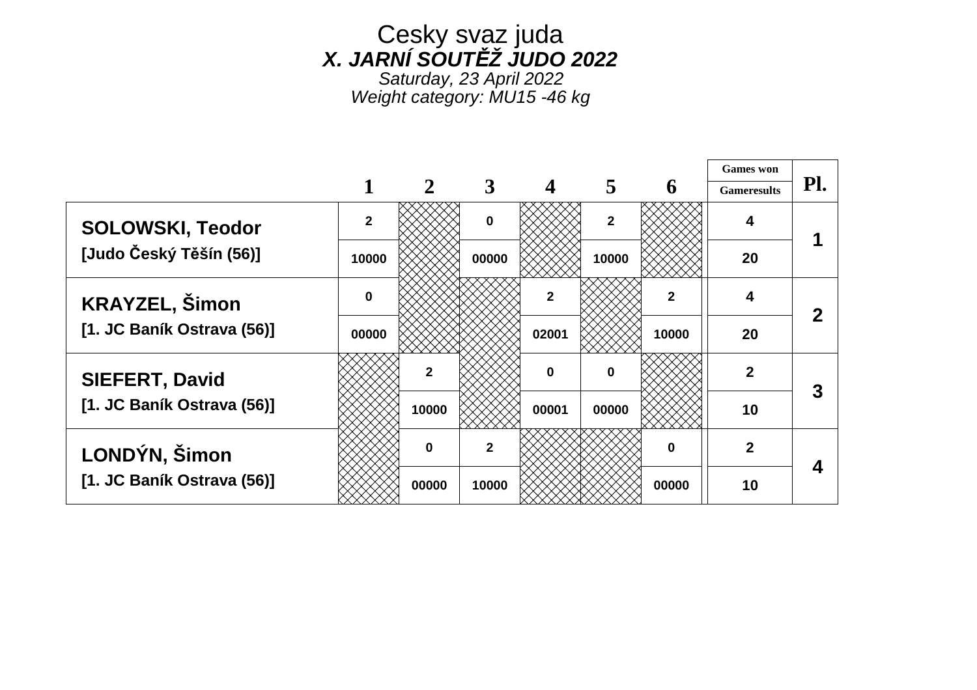### Cesky svaz juda *X. JARNÍ SOUTĚŽ JUDO 2022*

*Saturday, 23 April 2022 Weight category: MU15 -46 kg*

|                            |                |       |              |                |                |              | <b>Games</b> won   |             |
|----------------------------|----------------|-------|--------------|----------------|----------------|--------------|--------------------|-------------|
|                            |                |       | 3            |                | 5              | 6            | <b>Gameresults</b> | Pl.         |
| <b>SOLOWSKI, Teodor</b>    | $\overline{2}$ |       | $\mathbf{0}$ |                | $\overline{2}$ |              | 4                  |             |
| [Judo Český Těšín (56)]    | 10000          |       | 00000        |                | 10000          |              | 20                 |             |
| <b>KRAYZEL, Šimon</b>      | $\mathbf{0}$   |       |              | $\overline{2}$ |                | $\mathbf{2}$ | 4                  | $\mathbf 2$ |
| [1. JC Baník Ostrava (56)] | 00000          |       |              | 02001          |                | 10000        | 20                 |             |
| <b>SIEFERT, David</b>      |                |       |              | $\mathbf{0}$   | $\bf{0}$       |              | $\overline{2}$     | 3           |
| [1. JC Baník Ostrava (56)] |                | 10000 |              | 00001          | 00000          |              | 10                 |             |
| LONDÝN, Šimon              |                | n     | $\mathbf{2}$ |                |                | O            | $\overline{2}$     | Δ           |
| [1. JC Baník Ostrava (56)] |                | 00000 | 10000        |                |                | 00000        | 10                 |             |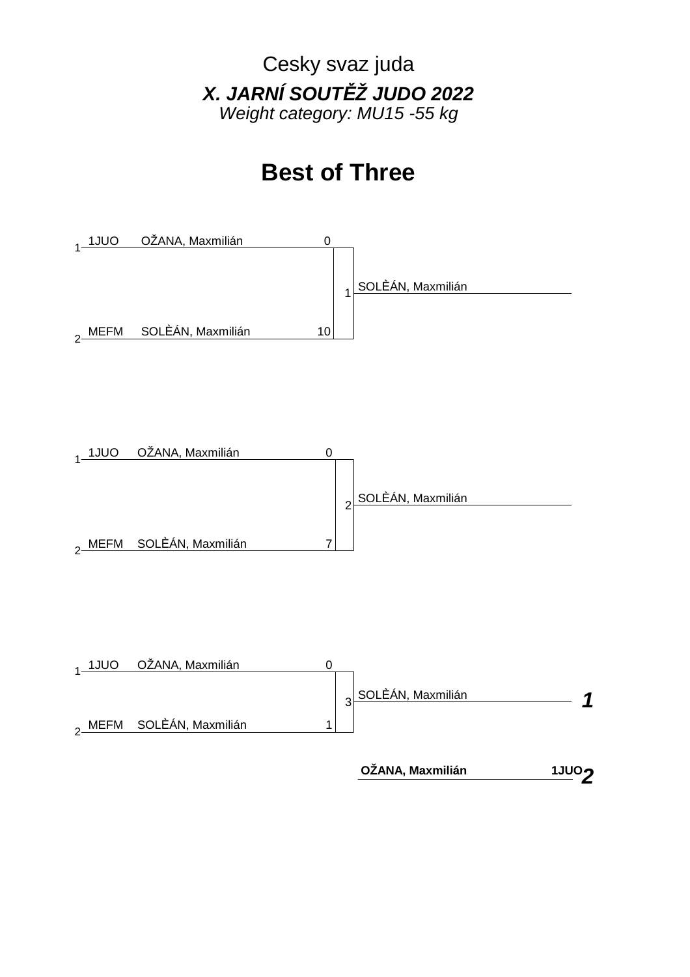### Cesky svaz juda *X. JARNÍ SOUTĚŽ JUDO 2022 Weight category: MU15 -55 kg*

## **Best of Three**







  $OZANA$ , Maxmilián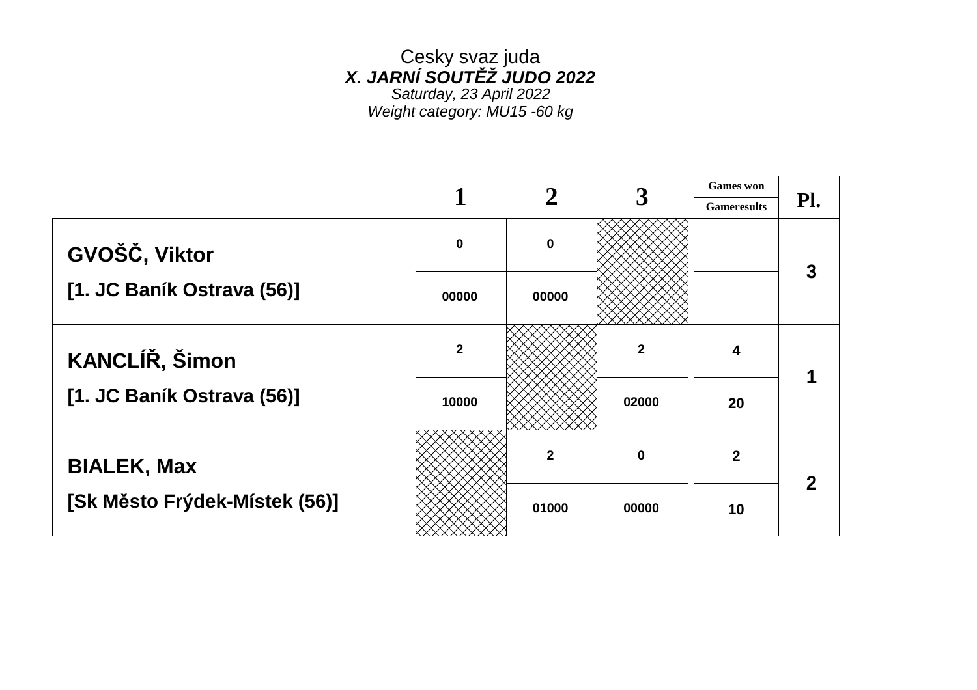#### Cesky svaz juda *X. JARNÍ SOUTĚŽ JUDO 2022 Saturday, 23 April 2022 Weight category: MU15 -60 kg*

|                               |                         |             |             | <b>Games</b> won   |     |
|-------------------------------|-------------------------|-------------|-------------|--------------------|-----|
|                               |                         |             |             | <b>Gameresults</b> | Pl. |
| GVOŠČ, Viktor                 | $\mathbf 0$             | $\mathbf 0$ |             |                    |     |
| [1. JC Baník Ostrava (56)]    | 00000                   | 00000       |             |                    |     |
| KANCLÍŘ, Šimon                | $\overline{\mathbf{2}}$ |             | $\mathbf 2$ | 4                  |     |
| [1. JC Baník Ostrava (56)]    | 10000                   |             | 02000       | 20                 |     |
| <b>BIALEK, Max</b>            |                         | 2           | $\mathbf 0$ | $\overline{2}$     |     |
| [Sk Město Frýdek-Místek (56)] |                         | 01000       | 00000       | 10                 |     |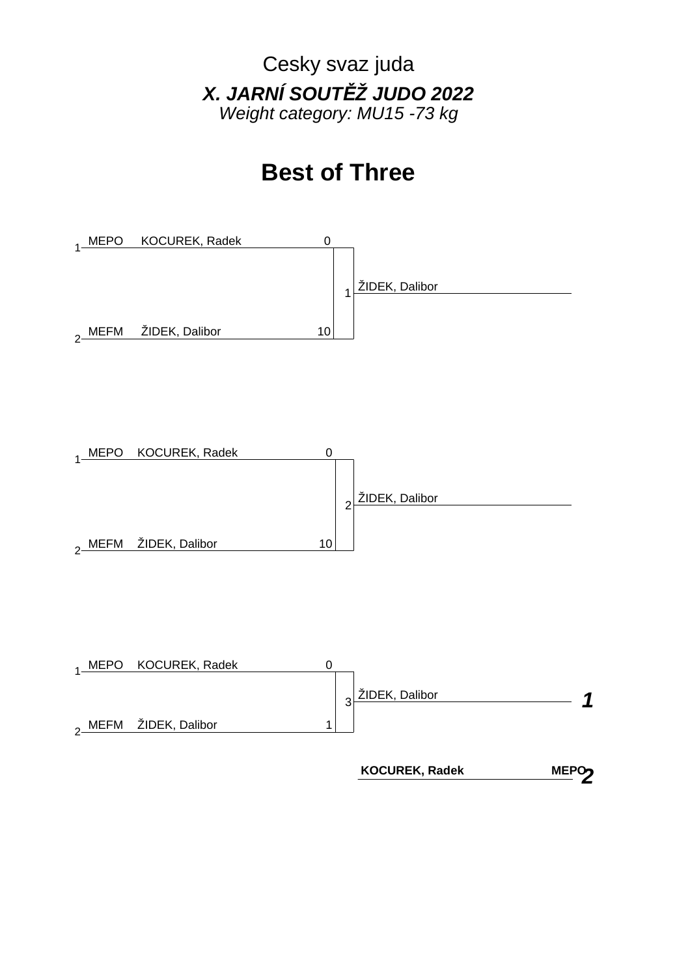### Cesky svaz juda *X. JARNÍ SOUTĚŽ JUDO 2022 Weight category: MU15 -73 kg*

## **Best of Three**







 **KOCUREK, Radek**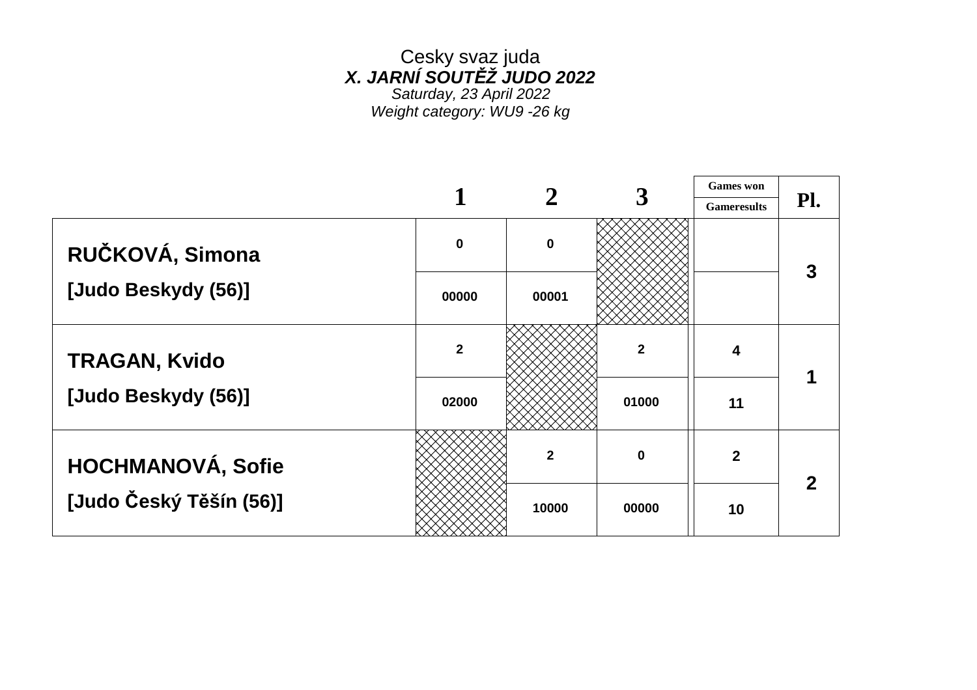#### Cesky svaz juda *X. JARNÍ SOUTĚŽ JUDO 2022 Saturday, 23 April 2022 Weight category: WU9 -26 kg*

|                          |                         |             |                | <b>Games</b> won   |     |
|--------------------------|-------------------------|-------------|----------------|--------------------|-----|
|                          |                         |             |                | <b>Gameresults</b> | Pl. |
| RUČKOVÁ, Simona          | $\mathbf 0$             | $\mathbf 0$ |                |                    |     |
| [Judo Beskydy (56)]      | 00000                   | 00001       |                |                    |     |
| <b>TRAGAN, Kvido</b>     | $\overline{\mathbf{2}}$ |             | $\overline{2}$ | 4                  |     |
| [Judo Beskydy (56)]      | 02000                   |             | 01000          | 11                 |     |
| <b>HOCHMANOVÁ, Sofie</b> |                         | $\mathbf 2$ | $\bf{0}$       | $\overline{2}$     |     |
| [Judo Český Těšín (56)]  |                         | 10000       | 00000          | 10                 |     |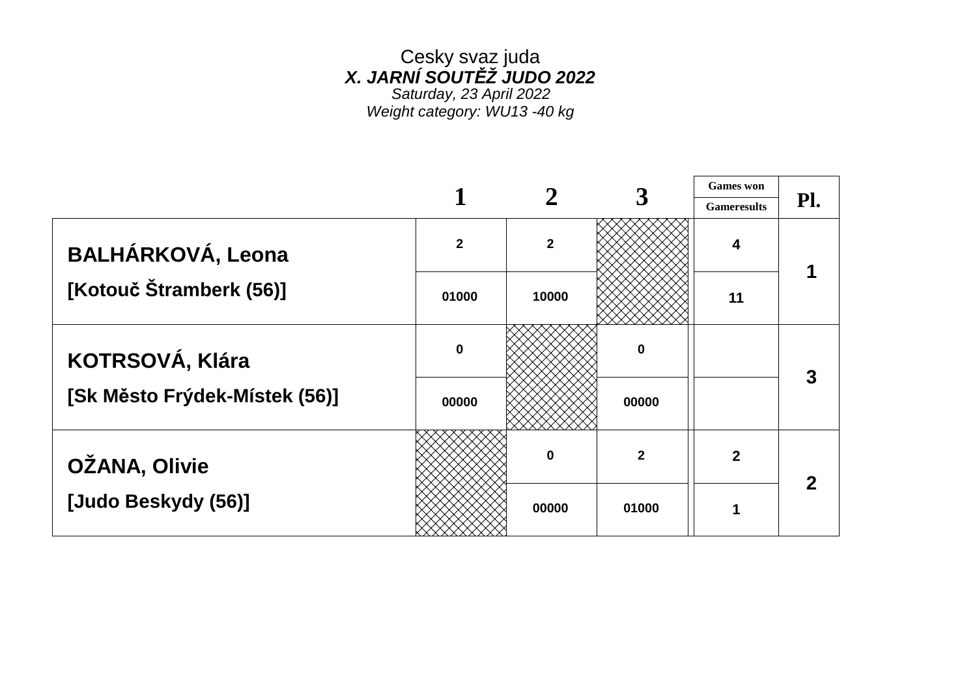#### Cesky svaz juda *X. JARNÍ SOUTĚŽ JUDO 2022 Saturday, 23 April 2022 Weight category: WU13 -40 kg*

|                               |                |                |              | <b>Games</b> won   |     |
|-------------------------------|----------------|----------------|--------------|--------------------|-----|
|                               |                |                |              | <b>Gameresults</b> | Pl. |
| <b>BALHÁRKOVÁ, Leona</b>      | $\overline{2}$ | $\overline{2}$ |              | 4                  |     |
| [Kotouč Štramberk (56)]       | 01000          | 10000          |              | 11                 |     |
| KOTRSOVÁ, Klára               | $\pmb{0}$      |                | 0            |                    |     |
| [Sk Město Frýdek-Místek (56)] | 00000          |                | 00000        |                    |     |
| OŽANA, Olivie                 |                | 0              | $\mathbf{2}$ | $\overline{2}$     |     |
| [Judo Beskydy (56)]           |                | 00000          | 01000        |                    |     |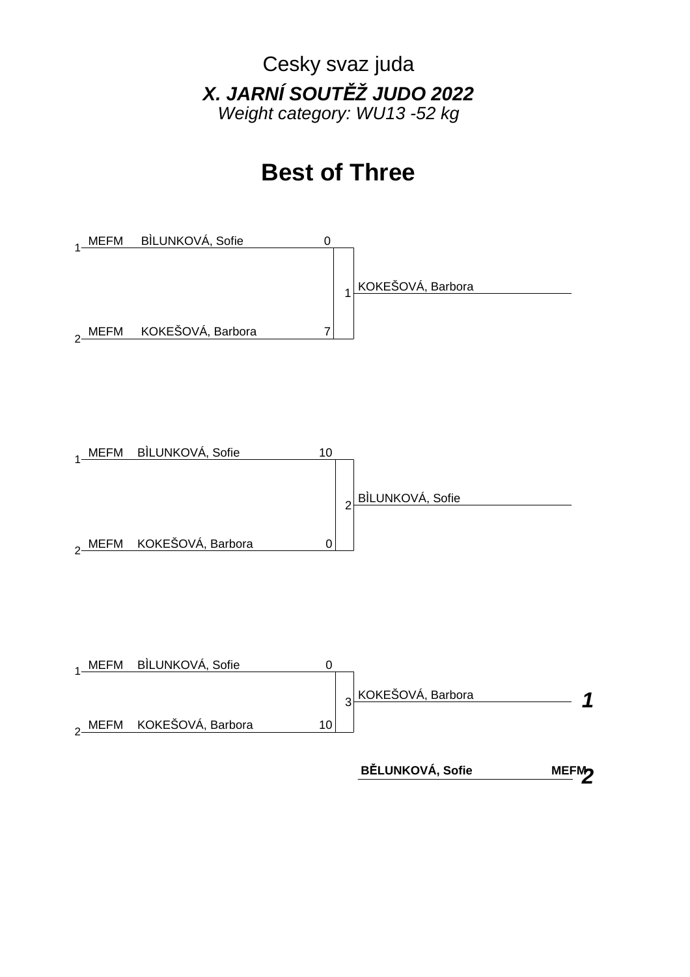### Cesky svaz juda *X. JARNÍ SOUTĚŽ JUDO 2022 Weight category: WU13 -52 kg*

## **Best of Three**







**MEFM2 BĚLUNKOVÁ, Sofie**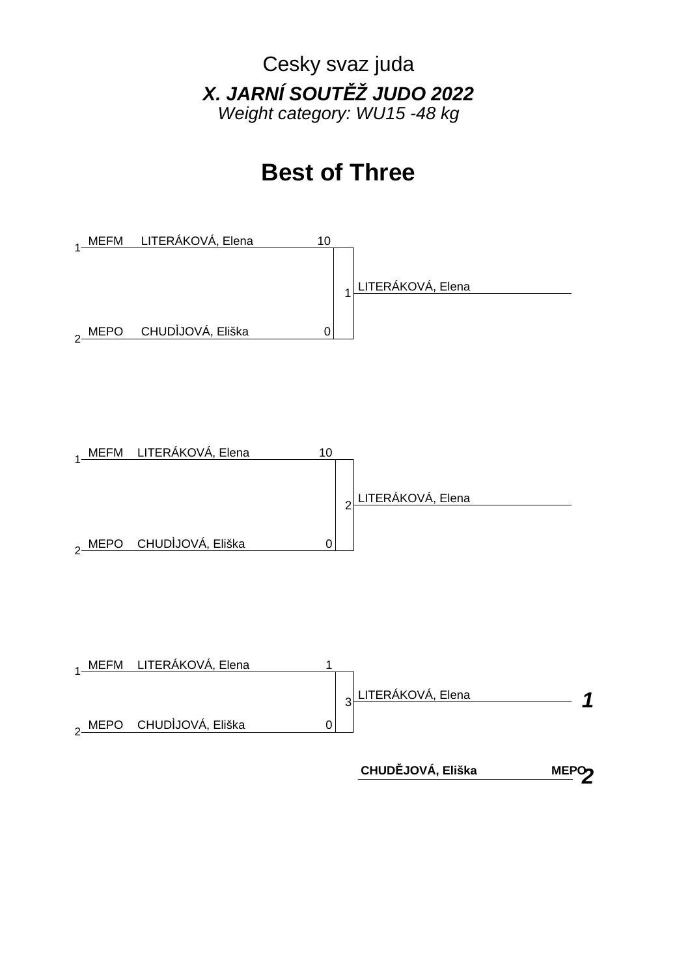### Cesky svaz juda *X. JARNÍ SOUTĚŽ JUDO 2022 Weight category: WU15 -48 kg*

## **Best of Three**







 **CHUDĚJOVÁ, Eliška MEPO**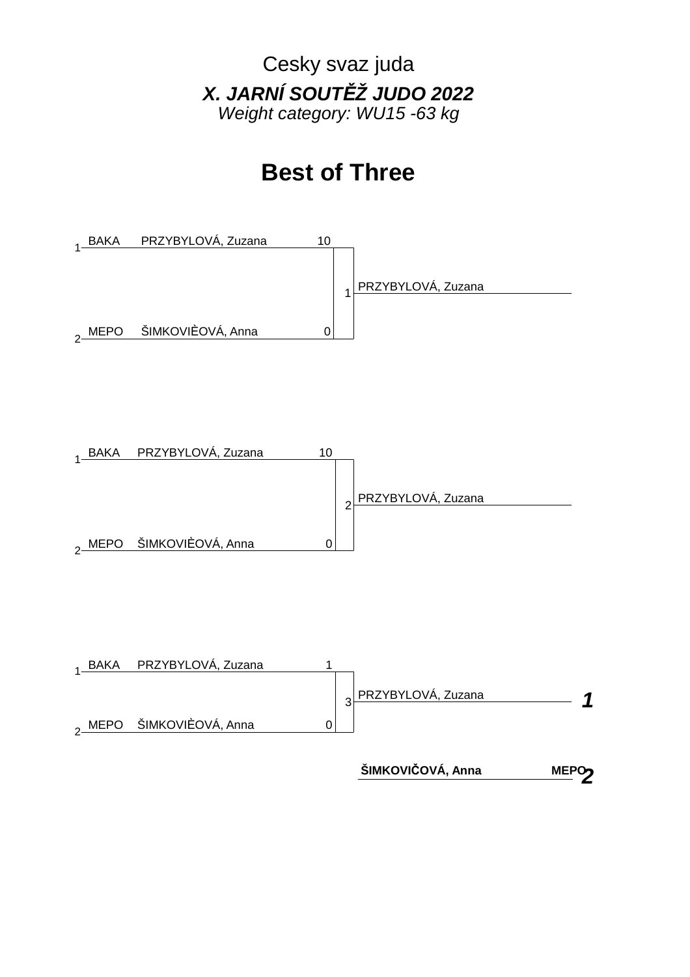### Cesky svaz juda *X. JARNÍ SOUTĚŽ JUDO 2022 Weight category: WU15 -63 kg*

## **Best of Three**







  $\check{\mathbf{S}}$ **IMKOVIČOVÁ, Anna**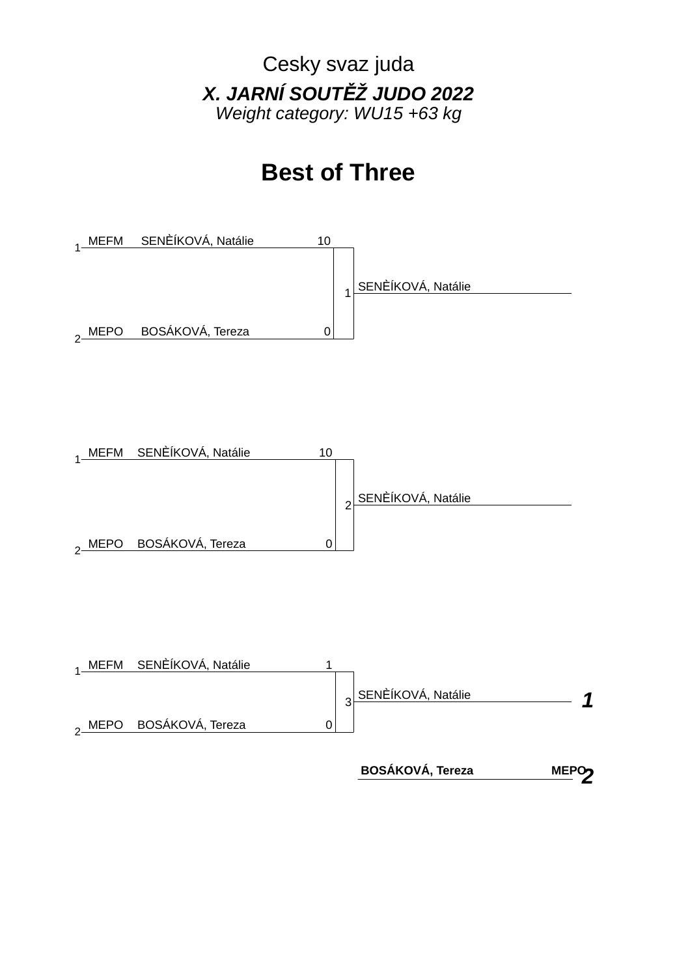### Cesky svaz juda *X. JARNÍ SOUTĚŽ JUDO 2022 Weight category: WU15 +63 kg*

## **Best of Three**







 **BOSÁKOVÁ, Tereza**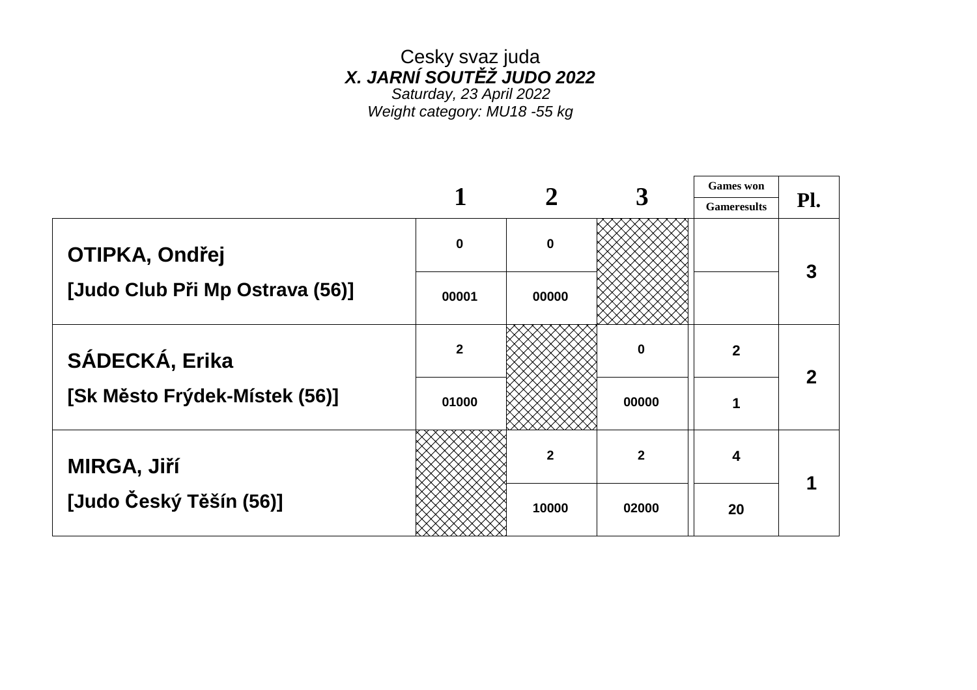#### Cesky svaz juda *X. JARNÍ SOUTĚŽ JUDO 2022 Saturday, 23 April 2022 Weight category: MU18 -55 kg*

|                                 |                  |             |              | <b>Games</b> won   |     |
|---------------------------------|------------------|-------------|--------------|--------------------|-----|
|                                 |                  |             |              | <b>Gameresults</b> | Pl. |
| OTIPKA, Ondřej                  | $\boldsymbol{0}$ | $\mathbf 0$ |              |                    |     |
| [Judo Club Při Mp Ostrava (56)] | 00001            | 00000       |              |                    |     |
| SÁDECKÁ, Erika                  | $\mathbf{2}$     |             | 0            | $\mathbf{2}$       |     |
| [Sk Město Frýdek-Místek (56)]   | 01000            |             | 00000        |                    |     |
| <b>MIRGA, Jiří</b>              |                  | 2           | $\mathbf{2}$ | 4                  |     |
| [Judo Český Těšín (56)]         |                  | 10000       | 02000        | 20                 |     |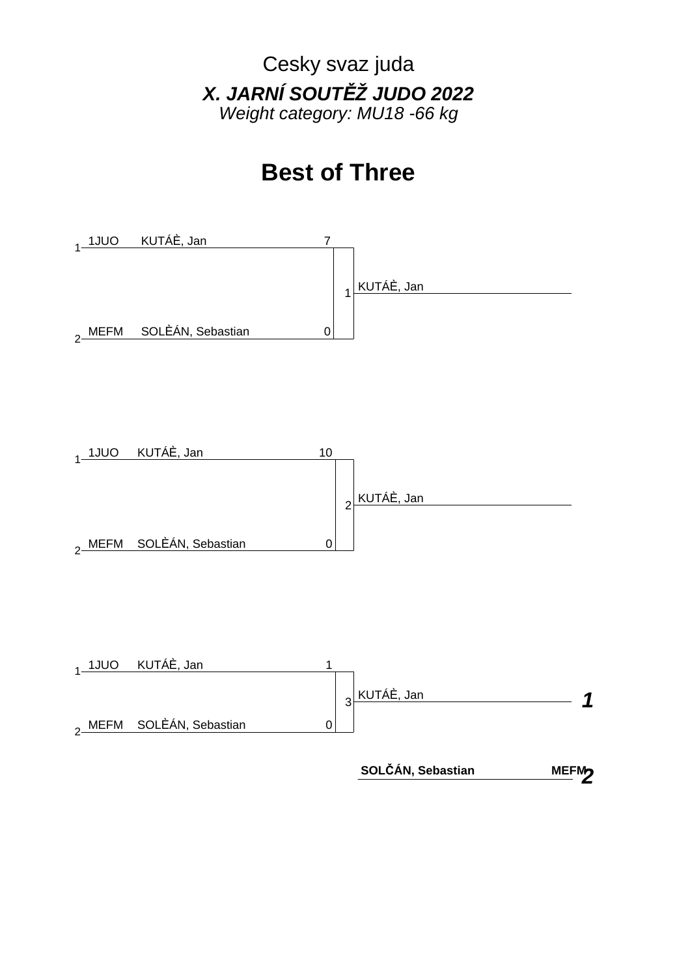### Cesky svaz juda *X. JARNÍ SOUTĚŽ JUDO 2022 Weight category: MU18 -66 kg*

## **Best of Three**







**MEFM2**  $SOLČÁN, Sebastian$